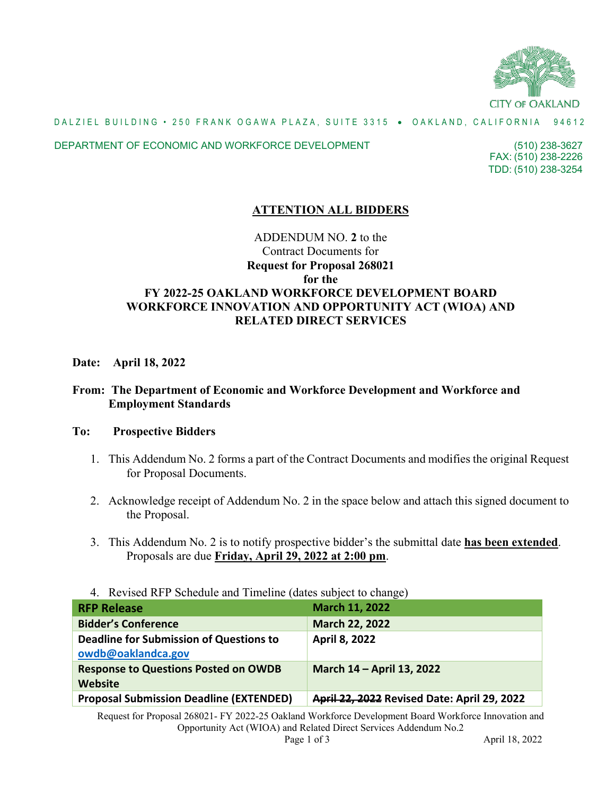

## DALZIEL BUILDING • 250 FRANK OGAWA PLAZA, SUITE 3315 • OAKLAND, CALIFORNIA 94612

### DEPARTMENT OF ECONOMIC AND WORKFORCE DEVELOPMENT

FAX: (510) 238-2226 (510) 238-3627 TDD: (510) 238-3254

# **ATTENTION ALL BIDDERS**

# ADDENDUM NO. **2** to the Contract Documents for **Request for Proposal 268021 for the FY 2022-25 OAKLAND WORKFORCE DEVELOPMENT BOARD WORKFORCE INNOVATION AND OPPORTUNITY ACT (WIOA) AND RELATED DIRECT SERVICES**

## **Date: April 18, 2022**

# **From: The Department of Economic and Workforce Development and Workforce and Employment Standards**

## **To: Prospective Bidders**

- 1. This Addendum No. 2 forms a part of the Contract Documents and modifies the original Request for Proposal Documents.
- 2. Acknowledge receipt of Addendum No. 2 in the space below and attach this signed document to the Proposal.
- 3. This Addendum No. 2 is to notify prospective bidder's the submittal date **has been extended**. Proposals are due **Friday, April 29, 2022 at 2:00 pm**.
- 4. Revised RFP Schedule and Timeline (dates subject to change)

| <b>RFP Release</b>                                            | March 11, 2022                              |
|---------------------------------------------------------------|---------------------------------------------|
| <b>Bidder's Conference</b>                                    | <b>March 22, 2022</b>                       |
| Deadline for Submission of Questions to<br>owdb@oaklandca.gov | <b>April 8, 2022</b>                        |
| <b>Response to Questions Posted on OWDB</b><br>Website        | March 14 - April 13, 2022                   |
| <b>Proposal Submission Deadline (EXTENDED)</b>                | April 22, 2022 Revised Date: April 29, 2022 |

Request for Proposal 268021- FY 2022-25 Oakland Workforce Development Board Workforce Innovation and Opportunity Act (WIOA) and Related Direct Services Addendum No.2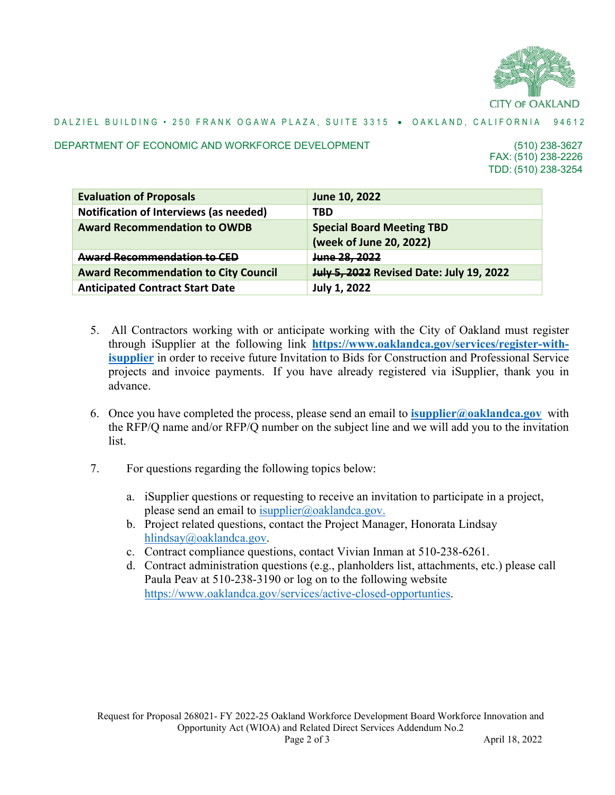

## DALZIEL BUILDING • 250 FRANK OGAWA PLAZA, SUITE 3315 • OAKLAND, CALIFORNIA 94612

#### DEPARTMENT OF ECONOMIC AND WORKFORCE DEVELOPMENT

FAX: (510) 238-2226 (510) 238-3627 TDD: (510) 238-3254

| <b>Evaluation of Proposals</b>              | June 10, 2022                                               |
|---------------------------------------------|-------------------------------------------------------------|
| Notification of Interviews (as needed)      | <b>TBD</b>                                                  |
| <b>Award Recommendation to OWDB</b>         | <b>Special Board Meeting TBD</b><br>(week of June 20, 2022) |
| Award Recommendation to CED                 | June 28, 2022                                               |
| <b>Award Recommendation to City Council</b> | <b>July 5, 2022</b> Revised Date: July 19, 2022             |
| <b>Anticipated Contract Start Date</b>      | <b>July 1, 2022</b>                                         |

- 5. All Contractors working with or anticipate working with the City of Oakland must register through iSupplier at the following link **[https://www.oaklandca.gov/services/register-with](https://www.oaklandca.gov/services/register-with-isupplier)[isupplier](https://www.oaklandca.gov/services/register-with-isupplier)** in order to receive future Invitation to Bids for Construction and Professional Service projects and invoice payments. If you have already registered via iSupplier, thank you in advance.
- 6. Once you have completed the process, please send an email to **[isupplier@oaklandca.gov](mailto:isupplier@oaklandca.gov)** with the RFP/Q name and/or RFP/Q number on the subject line and we will add you to the invitation list.
- 7. For questions regarding the following topics below:
	- a. iSupplier questions or requesting to receive an invitation to participate in a project, please send an email to  $\frac{1}{\text{supplier}(a)}$  oaklandca.gov.
	- b. Project related questions, contact the Project Manager, Honorata Lindsay [hlindsay@oaklandca.gov.](mailto:hlindsay@oaklandca.gov)
	- c. Contract compliance questions, contact Vivian Inman at 510-238-6261.
	- d. Contract administration questions (e.g., planholders list, attachments, etc.) please call Paula Peav at 510-238-3190 or log on to the following website [https://www.oaklandca.gov/services/active-closed-opportunties.](https://www.oaklandca.gov/services/active-closed-opportunties)